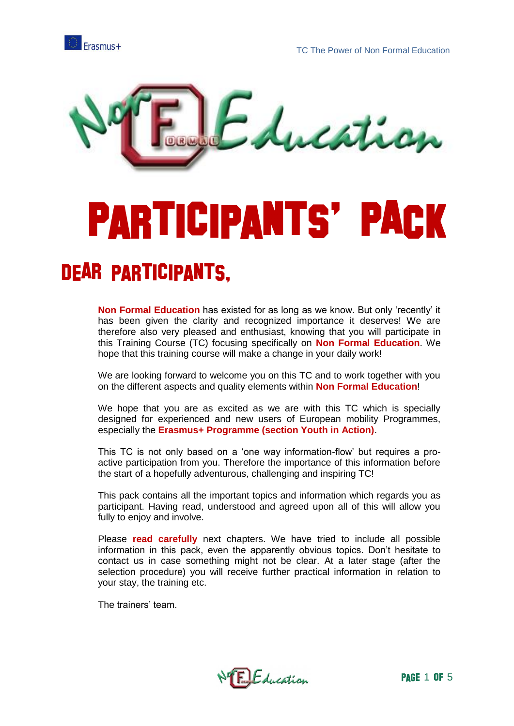



# **PARTICIPANTS' PACK**

#### **DEAR PARTICIPANTS,**

**Non Formal Education** has existed for as long as we know. But only 'recently' it has been given the clarity and recognized importance it deserves! We are therefore also very pleased and enthusiast, knowing that you will participate in this Training Course (TC) focusing specifically on **Non Formal Education**. We hope that this training course will make a change in your daily work!

We are looking forward to welcome you on this TC and to work together with you on the different aspects and quality elements within **Non Formal Education**!

We hope that you are as excited as we are with this TC which is specially designed for experienced and new users of European mobility Programmes, especially the **Erasmus+ Programme (section Youth in Action)**.

This TC is not only based on a 'one way information-flow' but requires a proactive participation from you. Therefore the importance of this information before the start of a hopefully adventurous, challenging and inspiring TC!

This pack contains all the important topics and information which regards you as participant. Having read, understood and agreed upon all of this will allow you fully to enjoy and involve.

Please **read carefully** next chapters. We have tried to include all possible information in this pack, even the apparently obvious topics. Don't hesitate to contact us in case something might not be clear. At a later stage (after the selection procedure) you will receive further practical information in relation to your stay, the training etc.

The trainers' team.

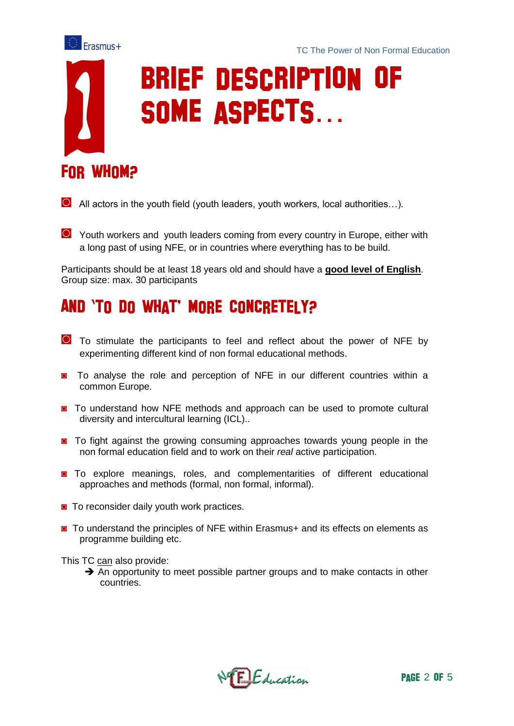

# Erasmus+<br>
SOME ASPECTS...

- **◙** All actors in the youth field (youth leaders, youth workers, local authorities…).
- **◙** Youth workers and youth leaders coming from every country in Europe, either with a long past of using NFE, or in countries where everything has to be build.

Participants should be at least 18 years old and should have a **good level of English**. Group size: max. 30 participants

#### AND 'TO DO WHAT' MORE CONCRETELY?

- **◙** To stimulate the participants to feel and reflect about the power of NFE by experimenting different kind of non formal educational methods.
- **◙** To analyse the role and perception of NFE in our different countries within a common Europe.
- **◙** To understand how NFE methods and approach can be used to promote cultural diversity and intercultural learning (ICL)..
- **◙** To fight against the growing consuming approaches towards young people in the non formal education field and to work on their *real* active participation.
- **◙** To explore meanings, roles, and complementarities of different educational approaches and methods (formal, non formal, informal).
- **◙** To reconsider daily youth work practices.
- To understand the principles of NFE within Erasmus+ and its effects on elements as programme building etc.

This TC can also provide:

 $\rightarrow$  An opportunity to meet possible partner groups and to make contacts in other countries.

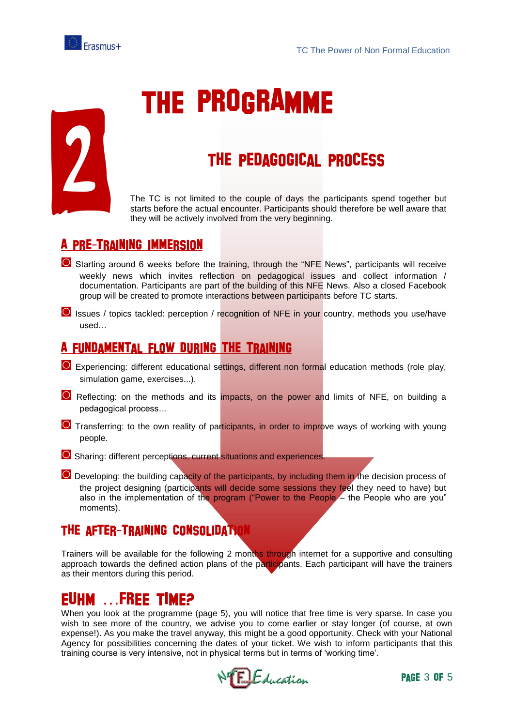



### **THE PROGRAMME**

#### THE PEDAGOGICAL PROCESS

The TC is not limited to the couple of days the participants spend together but starts before the actual encounter. Participants should therefore be well aware that they will be actively involved from the very beginning.

#### A PRE-TRAINING IMMERSION

- **◙** Starting around 6 weeks before the training, through the "NFE News", participants will receive weekly news which invites reflection on pedagogical issues and collect information / documentation. Participants are part of the building of this NFE News. Also a closed Facebook group will be created to promote interactions between participants before TC starts.
- **◙** Issues / topics tackled: perception / recognition of NFE in your country, methods you use/have used…

#### A FUNDAMENTAL FLOW DURING THE TRAINING

- **◙** Experiencing: different educational settings, different non formal education methods (role play, simulation game, exercises...).
- **◙** Reflecting: on the methods and its impacts, on the power and limits of NFE, on building a pedagogical process…
- **O** Transferring: to the own reality of participants, in order to improve ways of working with young people.
- **◙** Sharing: different perceptions, current situations and experiences.
- **◙** Developing: the building capacity of the participants, by including them in the decision process of the project designing (participants will decide some sessions they feel they need to have) but also in the implementation of the program ("Power to the People – the People who are you" moments).

#### THE AFTER-TRAINING CONSOLIDATION

Trainers will be available for the following 2 months through internet for a supportive and consulting approach towards the defined action plans of the participants. Each participant will have the trainers as their mentors during this period.

#### EUHM ...FREE TIME?

When you look at the programme (page 5), you will notice that free time is very sparse. In case you wish to see more of the country, we advise you to come earlier or stay longer (of course, at own expense!). As you make the travel anyway, this might be a good opportunity. Check with your National Agency for possibilities concerning the dates of your ticket. We wish to inform participants that this training course is very intensive, not in physical terms but in terms of 'working time'.

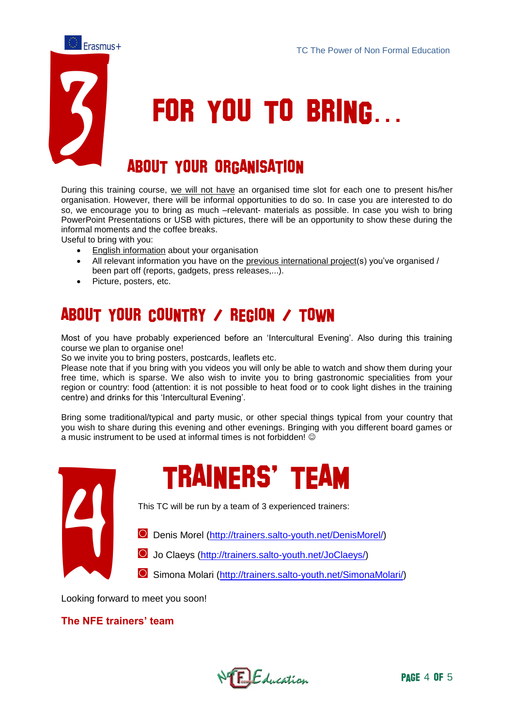

## **FOR YOU TO BRING...**

#### **ABOUT YOUR ORGANISATION**

During this training course, we will not have an organised time slot for each one to present his/her organisation. However, there will be informal opportunities to do so. In case you are interested to do so, we encourage you to bring as much –relevant- materials as possible. In case you wish to bring PowerPoint Presentations or USB with pictures, there will be an opportunity to show these during the informal moments and the coffee breaks.

Useful to bring with you:

- English information about your organisation
- All relevant information you have on the previous international project(s) you've organised / been part off (reports, gadgets, press releases,...).
- Picture, posters, etc.

#### **ABOUT YOUR COUNTRY / REGION / TOWN**

Most of you have probably experienced before an 'Intercultural Evening'. Also during this training course we plan to organise one!

So we invite you to bring posters, postcards, leaflets etc.

Please note that if you bring with you videos you will only be able to watch and show them during your free time, which is sparse. We also wish to invite you to bring gastronomic specialities from your region or country: food (attention: it is not possible to heat food or to cook light dishes in the training centre) and drinks for this 'Intercultural Evening'.

Bring some traditional/typical and party music, or other special things typical from your country that you wish to share during this evening and other evenings. Bringing with you different board games or a music instrument to be used at informal times is not forbidden!  $\odot$ 





This TC will be run by a team of 3 experienced trainers:

**◙** Denis Morel [\(http://trainers.salto-youth.net/DenisMorel/\)](http://trainers.salto-youth.net/DenisMorel/)

**◙** Jo Claeys [\(http://trainers.salto-youth.net/JoClaeys/\)](http://trainers.salto-youth.net/JoClaeys/)

**◙** Simona Molari [\(http://trainers.salto-youth.net/SimonaMolari/\)](http://trainers.salto-youth.net/SimonaMolari/)

Looking forward to meet you soon!

#### **The NFE trainers' team**